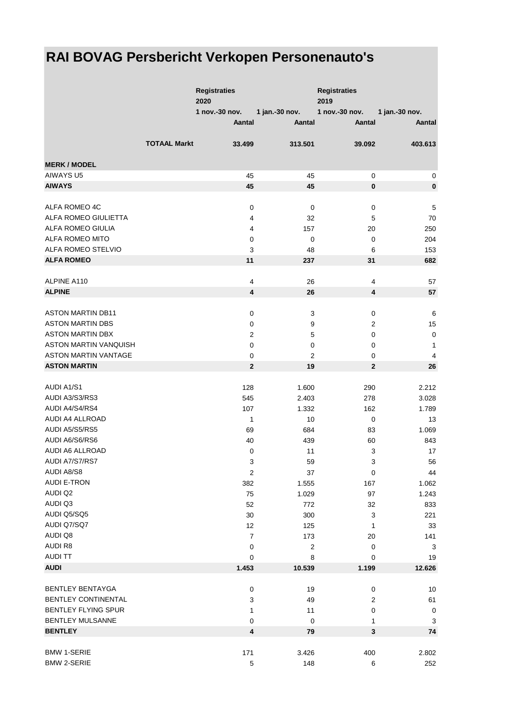## **RAI BOVAG Persbericht Verkopen Personenauto's**

|                                         |                     | <b>Registraties</b><br>2020 |                | <b>Registraties</b><br>2019 |                |
|-----------------------------------------|---------------------|-----------------------------|----------------|-----------------------------|----------------|
|                                         |                     | 1 nov.-30 nov.              | 1 jan.-30 nov. | 1 nov.-30 nov.              | 1 jan.-30 nov. |
|                                         |                     | Aantal                      | <b>Aantal</b>  | Aantal                      | Aantal         |
|                                         | <b>TOTAAL Markt</b> | 33.499                      | 313.501        | 39.092                      | 403.613        |
| <b>MERK / MODEL</b>                     |                     |                             |                |                             |                |
| <b>AIWAYS U5</b>                        |                     | 45                          | 45             | 0                           | 0              |
| <b>AIWAYS</b>                           |                     | 45                          | 45             | $\mathbf 0$                 | $\pmb{0}$      |
| ALFA ROMEO 4C                           |                     | 0                           | $\mathbf 0$    | $\pmb{0}$                   | $\mathbf 5$    |
| ALFA ROMEO GIULIETTA                    |                     | 4                           | 32             | 5                           | 70             |
| ALFA ROMEO GIULIA                       |                     | 4                           | 157            | 20                          | 250            |
| <b>ALFA ROMEO MITO</b>                  |                     |                             | $\mathbf 0$    |                             |                |
|                                         |                     | 0                           |                | 0                           | 204            |
| ALFA ROMEO STELVIO<br><b>ALFA ROMEO</b> |                     | 3<br>11                     | 48<br>237      | 6<br>31                     | 153<br>682     |
|                                         |                     |                             |                |                             |                |
| ALPINE A110                             |                     | 4                           | 26             | 4                           | 57             |
| <b>ALPINE</b>                           |                     | 4                           | 26             | $\overline{\mathbf{4}}$     | 57             |
| <b>ASTON MARTIN DB11</b>                |                     | $\pmb{0}$                   | 3              | $\pmb{0}$                   | $\,6$          |
| <b>ASTON MARTIN DBS</b>                 |                     | 0                           | 9              | 2                           | 15             |
| <b>ASTON MARTIN DBX</b>                 |                     | 2                           | 5              | $\mathbf 0$                 | $\pmb{0}$      |
| <b>ASTON MARTIN VANQUISH</b>            |                     | 0                           | 0              | 0                           | $\mathbf{1}$   |
| <b>ASTON MARTIN VANTAGE</b>             |                     |                             |                |                             |                |
|                                         |                     | 0                           | 2              | 0                           | 4              |
| <b>ASTON MARTIN</b>                     |                     | $\mathbf{2}$                | 19             | $\mathbf 2$                 | 26             |
| <b>AUDI A1/S1</b>                       |                     | 128                         | 1.600          | 290                         | 2.212          |
| AUDI A3/S3/RS3                          |                     | 545                         | 2.403          | 278                         | 3.028          |
| AUDI A4/S4/RS4                          |                     | 107                         | 1.332          | 162                         | 1.789          |
| AUDI A4 ALLROAD                         |                     | 1                           | 10             | 0                           | 13             |
| AUDI A5/S5/RS5                          |                     | 69                          | 684            | 83                          | 1.069          |
| AUDI A6/S6/RS6                          |                     | 40                          | 439            | 60                          | 843            |
| AUDI A6 ALLROAD                         |                     | 0                           | 11             | 3                           | 17             |
| AUDI A7/S7/RS7                          |                     | 3                           | 59             | 3                           | 56             |
| AUDI A8/S8                              |                     | $\boldsymbol{2}$            | 37             | $\mathbf 0$                 | 44             |
| <b>AUDI E-TRON</b>                      |                     | 382                         | 1.555          | 167                         | 1.062          |
| AUDI Q2                                 |                     | 75                          | 1.029          | 97                          | 1.243          |
| AUDI Q3                                 |                     | 52                          | 772            | 32                          | 833            |
| AUDI Q5/SQ5                             |                     | 30                          | 300            | 3                           | 221            |
| AUDI Q7/SQ7                             |                     | 12                          | 125            | 1                           | 33             |
| AUDI Q8                                 |                     | $\overline{7}$              | 173            | 20                          | 141            |
| <b>AUDI R8</b>                          |                     | 0                           | $\overline{c}$ | 0                           | 3              |
| <b>AUDI TT</b>                          |                     | 0                           | 8              | 0                           | 19             |
| <b>AUDI</b>                             |                     | 1.453                       | 10.539         | 1.199                       | 12.626         |
|                                         |                     |                             |                |                             |                |
| <b>BENTLEY BENTAYGA</b>                 |                     | 0                           | 19             | $\pmb{0}$                   | 10             |
| <b>BENTLEY CONTINENTAL</b>              |                     | 3                           | 49             | 2                           | 61             |
| <b>BENTLEY FLYING SPUR</b>              |                     | 1                           | 11             | 0                           | 0              |
| BENTLEY MULSANNE                        |                     | 0                           | 0              | 1                           | 3              |
| <b>BENTLEY</b>                          |                     | 4                           | 79             | 3                           | 74             |
|                                         |                     |                             |                |                             |                |
| <b>BMW 1-SERIE</b>                      |                     | 171                         | 3.426          | 400                         | 2.802          |
| <b>BMW 2-SERIE</b>                      |                     | $\mathbf 5$                 | 148            | 6                           | 252            |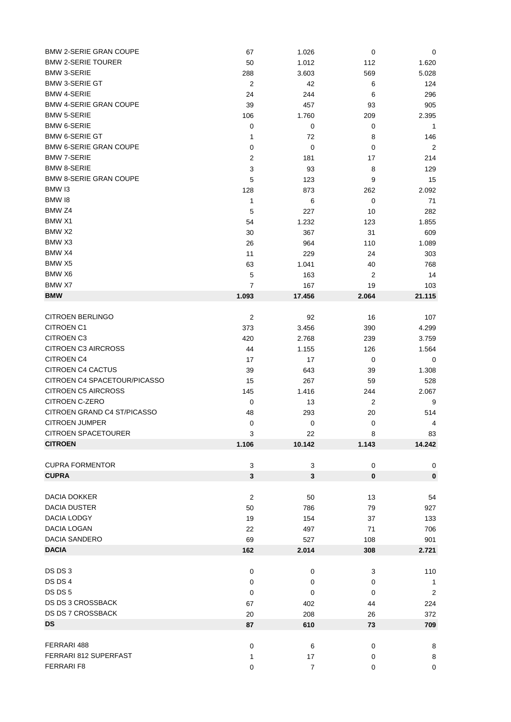| <b>BMW 2-SERIE GRAN COUPE</b> | 67                      | 1.026          | $\mathbf 0$ | 0              |
|-------------------------------|-------------------------|----------------|-------------|----------------|
| <b>BMW 2-SERIE TOURER</b>     | 50                      | 1.012          | 112         | 1.620          |
| <b>BMW 3-SERIE</b>            | 288                     | 3.603          | 569         | 5.028          |
| <b>BMW 3-SERIE GT</b>         | $\overline{2}$          | 42             | 6           | 124            |
| <b>BMW 4-SERIE</b>            | 24                      | 244            | 6           | 296            |
| <b>BMW 4-SERIE GRAN COUPE</b> | 39                      | 457            | 93          | 905            |
| <b>BMW 5-SERIE</b>            | 106                     | 1.760          | 209         | 2.395          |
| <b>BMW 6-SERIE</b>            | 0                       | 0              | 0           | $\mathbf{1}$   |
| <b>BMW 6-SERIE GT</b>         | 1                       | 72             | 8           | 146            |
| <b>BMW 6-SERIE GRAN COUPE</b> | 0                       | $\mathbf 0$    | 0           | 2              |
| <b>BMW 7-SERIE</b>            | $\overline{c}$          | 181            |             | 214            |
| <b>BMW 8-SERIE</b>            |                         | 93             | 17          |                |
| <b>BMW 8-SERIE GRAN COUPE</b> | 3                       |                | 8           | 129            |
|                               | 5                       | 123            | 9           | 15             |
| BMW <sub>13</sub>             | 128                     | 873            | 262         | 2.092          |
| BMW 18                        | 1                       | 6              | 0           | 71             |
| BMW <sub>Z4</sub>             | 5                       | 227            | 10          | 282            |
| BMW X1                        | 54                      | 1.232          | 123         | 1.855          |
| BMW X2                        | 30                      | 367            | 31          | 609            |
| BMW X3                        | 26                      | 964            | 110         | 1.089          |
| BMW X4                        | 11                      | 229            | 24          | 303            |
| BMW X5                        | 63                      | 1.041          | 40          | 768            |
| BMW X6                        | 5                       | 163            | 2           | 14             |
| BMW X7                        | 7                       | 167            | 19          | 103            |
| <b>BMW</b>                    | 1.093                   | 17.456         | 2.064       | 21.115         |
|                               |                         |                |             |                |
| <b>CITROEN BERLINGO</b>       | $\overline{2}$          | 92             | 16          | 107            |
| <b>CITROEN C1</b>             | 373                     | 3.456          | 390         | 4.299          |
| <b>CITROEN C3</b>             | 420                     | 2.768          | 239         | 3.759          |
| <b>CITROEN C3 AIRCROSS</b>    | 44                      | 1.155          | 126         | 1.564          |
| <b>CITROEN C4</b>             | 17                      | 17             | 0           | 0              |
| <b>CITROEN C4 CACTUS</b>      |                         |                |             |                |
|                               | 39                      | 643            | 39          | 1.308          |
| CITROEN C4 SPACETOUR/PICASSO  | 15                      | 267            | 59          | 528            |
| <b>CITROEN C5 AIRCROSS</b>    | 145                     | 1.416          | 244         | 2.067          |
| CITROEN C-ZERO                | 0                       | 13             | 2           | 9              |
| CITROEN GRAND C4 ST/PICASSO   | 48                      | 293            | 20          | 514            |
| <b>CITROEN JUMPER</b>         | 0                       | 0              | 0           | 4              |
| CITROEN SPACETOURER           | 3                       | 22             | 8           | 83             |
| <b>CITROEN</b>                | 1.106                   | 10.142         | 1.143       | 14.242         |
|                               |                         |                |             |                |
| <b>CUPRA FORMENTOR</b>        | 3                       | 3              | $\mathbf 0$ | $\mathbf 0$    |
| <b>CUPRA</b>                  | $\mathbf{3}$            | $\mathbf{3}$   | $\pmb{0}$   | $\pmb{0}$      |
|                               |                         |                |             |                |
| <b>DACIA DOKKER</b>           | $\overline{\mathbf{c}}$ | 50             | 13          | 54             |
| <b>DACIA DUSTER</b>           | 50                      | 786            | 79          | 927            |
| DACIA LODGY                   | 19                      | 154            | 37          | 133            |
| DACIA LOGAN                   | 22                      | 497            | 71          | 706            |
| <b>DACIA SANDERO</b>          | 69                      | 527            | 108         | 901            |
| <b>DACIA</b>                  | 162                     | 2.014          | 308         | 2.721          |
|                               |                         |                |             |                |
| DS DS 3                       | 0                       | 0              | 3           | 110            |
| DS DS 4                       | 0                       | 0              | 0           | $\mathbf{1}$   |
| DS DS 5                       | 0                       | 0              | 0           |                |
| DS DS 3 CROSSBACK             |                         |                |             | $\overline{2}$ |
|                               | 67                      | 402            | 44          | 224            |
| DS DS 7 CROSSBACK             | 20                      | 208            | 26          | 372            |
| <b>DS</b>                     | 87                      | 610            | 73          | 709            |
|                               |                         |                |             |                |
| FERRARI 488                   | 0                       | 6              | $\mathbf 0$ | 8              |
| FERRARI 812 SUPERFAST         | 1                       | 17             | 0           | 8              |
| FERRARI F8                    | $\pmb{0}$               | $\overline{7}$ | $\pmb{0}$   | $\pmb{0}$      |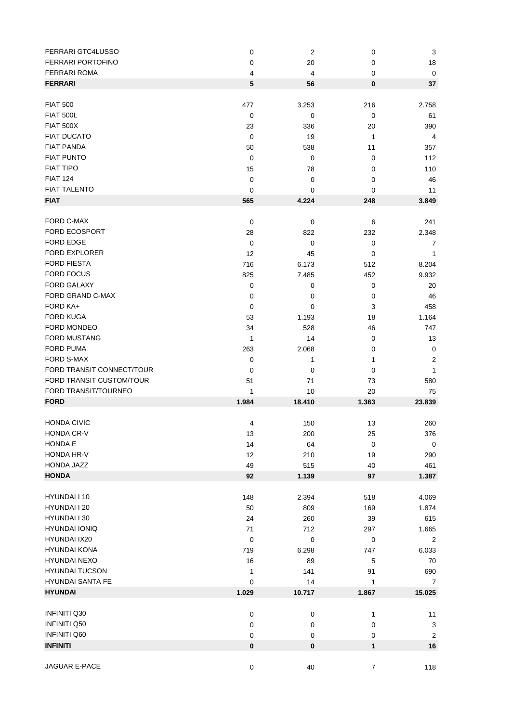| <b>FERRARI GTC4LUSSO</b>  | 0           | $\overline{c}$ | 0                | 3                         |
|---------------------------|-------------|----------------|------------------|---------------------------|
| <b>FERRARI PORTOFINO</b>  | 0           | 20             | 0                | 18                        |
| <b>FERRARI ROMA</b>       | 4           | 4              | 0                | $\mathbf 0$               |
| <b>FERRARI</b>            | 5           | 56             | 0                | 37                        |
|                           |             |                |                  |                           |
| <b>FIAT 500</b>           | 477         | 3.253          | 216              | 2.758                     |
| <b>FIAT 500L</b>          | 0           | 0              | 0                | 61                        |
| <b>FIAT 500X</b>          | 23          | 336            | 20               | 390                       |
| <b>FIAT DUCATO</b>        |             |                |                  |                           |
|                           | 0           | 19             | 1                | 4                         |
| <b>FIAT PANDA</b>         | 50          | 538            | 11               | 357                       |
| <b>FIAT PUNTO</b>         | 0           | 0              | 0                | 112                       |
| <b>FIAT TIPO</b>          | 15          | 78             | 0                | 110                       |
| <b>FIAT 124</b>           | 0           | $\pmb{0}$      | 0                | 46                        |
| <b>FIAT TALENTO</b>       | 0           | 0              | 0                | 11                        |
| <b>FIAT</b>               | 565         | 4.224          | 248              | 3.849                     |
|                           |             |                |                  |                           |
| FORD C-MAX                | $\mathbf 0$ | $\pmb{0}$      | 6                | 241                       |
| <b>FORD ECOSPORT</b>      | 28          | 822            | 232              | 2.348                     |
| <b>FORD EDGE</b>          | $\mathbf 0$ | 0              | 0                | 7                         |
| <b>FORD EXPLORER</b>      | 12          | 45             | 0                | 1                         |
| <b>FORD FIESTA</b>        | 716         | 6.173          | 512              | 8.204                     |
| <b>FORD FOCUS</b>         | 825         | 7.485          | 452              | 9.932                     |
| FORD GALAXY               | 0           | 0              | 0                | 20                        |
| FORD GRAND C-MAX          | 0           | 0              | 0                | 46                        |
| FORD KA+                  | $\mathbf 0$ | 0              | 3                | 458                       |
| <b>FORD KUGA</b>          | 53          | 1.193          | 18               | 1.164                     |
| FORD MONDEO               | 34          | 528            | 46               | 747                       |
| <b>FORD MUSTANG</b>       |             |                |                  |                           |
|                           | 1           | 14             | 0                | 13                        |
| <b>FORD PUMA</b>          | 263         | 2.068          | 0                | $\mathbf 0$               |
| FORD S-MAX                | $\mathbf 0$ | 1              | 1                | $\boldsymbol{2}$          |
| FORD TRANSIT CONNECT/TOUR | 0           | 0              | 0                | 1                         |
| FORD TRANSIT CUSTOM/TOUR  | 51          | 71             | 73               | 580                       |
| FORD TRANSIT/TOURNEO      | 1           | 10             | 20               | 75                        |
| <b>FORD</b>               | 1.984       | 18.410         | 1.363            | 23.839                    |
|                           |             |                |                  |                           |
| <b>HONDA CIVIC</b>        | 4           | 150            | 13               | 260                       |
| HONDA CR-V                | 13          | 200            | 25               | 376                       |
| HONDA E                   | 14          | 64             | 0                | $\mathbf 0$               |
| HONDA HR-V                | 12          | 210            | 19               | 290                       |
| HONDA JAZZ                | 49          | 515            | 40               | 461                       |
| <b>HONDA</b>              | 92          | 1.139          | 97               | 1.387                     |
|                           |             |                |                  |                           |
| HYUNDAI I 10              | 148         | 2.394          | 518              | 4.069                     |
| HYUNDAI I 20              | 50          | 809            | 169              | 1.874                     |
| HYUNDAI I 30              | 24          | 260            | 39               | 615                       |
| <b>HYUNDAI IONIQ</b>      | 71          | 712            | 297              | 1.665                     |
| <b>HYUNDAI IX20</b>       | 0           | $\pmb{0}$      | $\pmb{0}$        | $\overline{2}$            |
| <b>HYUNDAI KONA</b>       | 719         | 6.298          | 747              |                           |
| <b>HYUNDAI NEXO</b>       |             |                |                  | 6.033                     |
|                           | 16          | 89             | 5                | 70                        |
| <b>HYUNDAI TUCSON</b>     | 1           | 141            | 91               | 690                       |
| <b>HYUNDAI SANTA FE</b>   | 0           | 14             | 1                | 7                         |
| <b>HYUNDAI</b>            | 1.029       | 10.717         | 1.867            | 15.025                    |
|                           |             |                |                  |                           |
| <b>INFINITI Q30</b>       | 0           | $\pmb{0}$      | 1                | 11                        |
| <b>INFINITI Q50</b>       | 0           | $\pmb{0}$      | 0                | $\ensuremath{\mathsf{3}}$ |
| <b>INFINITI Q60</b>       | 0           | $\pmb{0}$      | 0                | $\overline{c}$            |
| <b>INFINITI</b>           | $\pmb{0}$   | 0              | 1                | 16                        |
|                           |             |                |                  |                           |
| JAGUAR E-PACE             | $\pmb{0}$   | 40             | $\boldsymbol{7}$ | 118                       |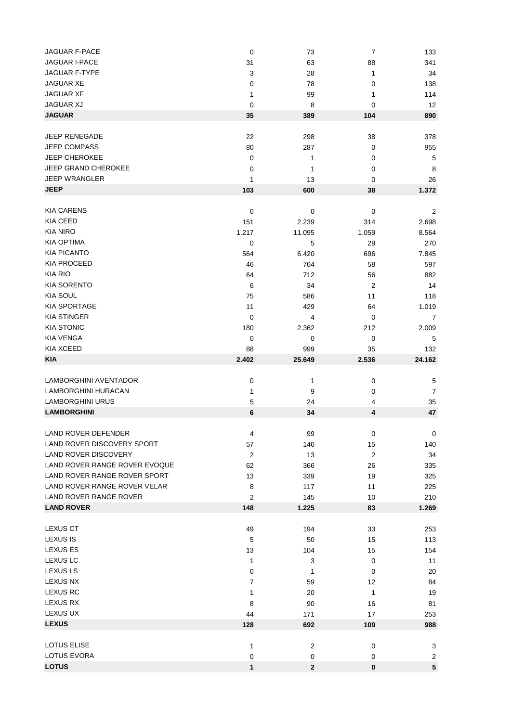| JAGUAR F-PACE                 | $\mathbf 0$      | 73     | 7                | 133              |
|-------------------------------|------------------|--------|------------------|------------------|
| JAGUAR I-PACE                 | 31               | 63     | 88               | 341              |
| <b>JAGUAR F-TYPE</b>          | 3                | 28     | 1                | 34               |
| <b>JAGUAR XE</b>              | 0                | 78     | 0                | 138              |
| <b>JAGUAR XF</b>              | 1                | 99     | 1                | 114              |
| <b>JAGUAR XJ</b>              | 0                | 8      | 0                | 12               |
| <b>JAGUAR</b>                 | 35               | 389    | 104              | 890              |
|                               |                  |        |                  |                  |
| JEEP RENEGADE                 | 22               | 298    | 38               | 378              |
| <b>JEEP COMPASS</b>           | 80               | 287    | 0                | 955              |
| <b>JEEP CHEROKEE</b>          | 0                | 1      | 0                | 5                |
| <b>JEEP GRAND CHEROKEE</b>    | 0                | 1      | 0                | 8                |
| <b>JEEP WRANGLER</b>          | 1                | 13     | 0                | 26               |
| <b>JEEP</b>                   | 103              | 600    | 38               | 1.372            |
|                               |                  |        |                  |                  |
| <b>KIA CARENS</b>             | $\mathbf 0$      | 0      | 0                | 2                |
| <b>KIA CEED</b>               | 151              | 2.239  | 314              | 2.698            |
| <b>KIA NIRO</b>               | 1.217            | 11.095 | 1.059            | 8.564            |
| <b>KIA OPTIMA</b>             |                  |        |                  |                  |
|                               | 0                | 5      | 29               | 270              |
| <b>KIA PICANTO</b>            | 564              | 6.420  | 696              | 7.845            |
| <b>KIA PROCEED</b>            | 46               | 764    | 58               | 597              |
| <b>KIA RIO</b>                | 64               | 712    | 56               | 882              |
| <b>KIA SORENTO</b>            | 6                | 34     | $\overline{2}$   | 14               |
| <b>KIA SOUL</b>               | 75               | 586    | 11               | 118              |
| <b>KIA SPORTAGE</b>           | 11               | 429    | 64               | 1.019            |
| <b>KIA STINGER</b>            | 0                | 4      | 0                | $\overline{7}$   |
| <b>KIA STONIC</b>             | 180              | 2.362  | 212              | 2.009            |
| <b>KIA VENGA</b>              | $\mathbf 0$      | 0      | 0                | 5                |
| KIA XCEED                     | 88               | 999    | 35               | 132              |
| <b>KIA</b>                    |                  |        |                  | 24.162           |
|                               | 2.402            | 25.649 | 2.536            |                  |
|                               |                  |        |                  |                  |
| LAMBORGHINI AVENTADOR         | 0                | 1      | 0                | 5                |
| <b>LAMBORGHINI HURACAN</b>    | 1                | 9      | 0                | $\boldsymbol{7}$ |
| <b>LAMBORGHINI URUS</b>       | 5                | 24     | 4                | 35               |
| <b>LAMBORGHINI</b>            | 6                | 34     | 4                | 47               |
|                               |                  |        |                  |                  |
| LAND ROVER DEFENDER           | 4                | 99     | 0                | $\mathbf 0$      |
| LAND ROVER DISCOVERY SPORT    | 57               | 146    | 15               | 140              |
| <b>LAND ROVER DISCOVERY</b>   | $\boldsymbol{2}$ | 13     | $\boldsymbol{2}$ | 34               |
| LAND ROVER RANGE ROVER EVOQUE | 62               | 366    | 26               | 335              |
| LAND ROVER RANGE ROVER SPORT  | 13               | 339    | 19               | 325              |
| LAND ROVER RANGE ROVER VELAR  | 8                | 117    | 11               | 225              |
| <b>LAND ROVER RANGE ROVER</b> | $\overline{2}$   | 145    | 10               | 210              |
| <b>LAND ROVER</b>             | 148              | 1.225  | 83               | 1.269            |
|                               |                  |        |                  |                  |
| <b>LEXUS CT</b>               | 49               | 194    | 33               | 253              |
| <b>LEXUS IS</b>               | 5                | 50     | 15               | 113              |
| <b>LEXUS ES</b>               | 13               | 104    | 15               | 154              |
| <b>LEXUS LC</b>               | 1                | 3      | 0                | 11               |
| <b>LEXUS LS</b>               | 0                | 1      | 0                | 20               |
| LEXUS NX                      | 7                | 59     | 12               | 84               |
| <b>LEXUS RC</b>               | 1                | 20     | 1                | 19               |
| LEXUS RX                      | 8                | 90     | 16               | 81               |
| LEXUS UX                      | 44               | 171    | 17               | 253              |
| <b>LEXUS</b>                  | 128              | 692    | 109              | 988              |
|                               |                  |        |                  |                  |
| LOTUS ELISE                   | 1                | 2      | 0                | 3                |
| LOTUS EVORA                   | 0                | 0      | 0                | 2                |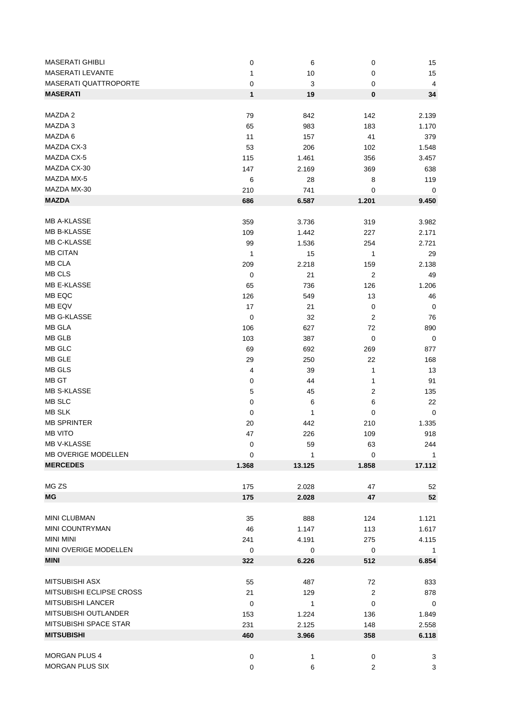| <b>MASERATI GHIBLI</b>   | 0                | 6            | 0              | 15                      |
|--------------------------|------------------|--------------|----------------|-------------------------|
| MASERATI LEVANTE         | 1                | 10           | 0              | 15                      |
| MASERATI QUATTROPORTE    | 0                | 3            | 0              | $\overline{\mathbf{4}}$ |
| <b>MASERATI</b>          | 1                | 19           | 0              | 34                      |
|                          |                  |              |                |                         |
| MAZDA 2                  | 79               | 842          | 142            | 2.139                   |
| MAZDA 3                  | 65               | 983          | 183            | 1.170                   |
| MAZDA 6                  | 11               | 157          | 41             | 379                     |
| MAZDA CX-3               | 53               | 206          | 102            | 1.548                   |
| MAZDA CX-5               | 115              | 1.461        | 356            | 3.457                   |
| MAZDA CX-30              | 147              | 2.169        | 369            |                         |
| MAZDA MX-5               |                  |              |                | 638                     |
|                          | 6                | 28           | 8              | 119                     |
| MAZDA MX-30              | 210              | 741          | 0              | 0                       |
| <b>MAZDA</b>             | 686              | 6.587        | 1.201          | 9.450                   |
|                          |                  |              |                |                         |
| <b>MB A-KLASSE</b>       | 359              | 3.736        | 319            | 3.982                   |
| MB B-KLASSE              | 109              | 1.442        | 227            | 2.171                   |
| MB C-KLASSE              | 99               | 1.536        | 254            | 2.721                   |
| <b>MB CITAN</b>          | 1                | 15           | 1              | 29                      |
| <b>MB CLA</b>            | 209              | 2.218        | 159            | 2.138                   |
| MB CLS                   | 0                | 21           | 2              | 49                      |
| MB E-KLASSE              | 65               | 736          | 126            | 1.206                   |
| MB EQC                   | 126              | 549          | 13             | 46                      |
| MB EQV                   | 17               | 21           | 0              | $\mathbf 0$             |
| MB G-KLASSE              | $\mathbf 0$      | 32           | 2              | 76                      |
| MB GLA                   | 106              | 627          | 72             | 890                     |
| MB GLB                   | 103              | 387          | 0              | $\mathbf 0$             |
| MB GLC                   |                  |              |                |                         |
|                          | 69               | 692          | 269            | 877                     |
| MB GLE                   | 29               | 250          | 22             | 168                     |
| MB GLS                   | 4                | 39           | 1              | 13                      |
| MB GT                    | 0                | 44           | 1              | 91                      |
| <b>MB S-KLASSE</b>       | 5                | 45           | 2              | 135                     |
| MB SLC                   | 0                | 6            | 6              | 22                      |
| <b>MB SLK</b>            | 0                | 1            | 0              | $\mathbf 0$             |
| <b>MB SPRINTER</b>       | 20               | 442          | 210            | 1.335                   |
| <b>MB VITO</b>           | 47               | 226          | 109            | 918                     |
| MB V-KLASSE              | $\mathbf 0$      | 59           | 63             | 244                     |
| MB OVERIGE MODELLEN      | $\boldsymbol{0}$ | 1            | 0              | -1                      |
| <b>MERCEDES</b>          | 1.368            | 13.125       | 1.858          | 17.112                  |
|                          |                  |              |                |                         |
| MG ZS                    | 175              | 2.028        | 47             | 52                      |
| ΜG                       | 175              | 2.028        | 47             | 52                      |
|                          |                  |              |                |                         |
| MINI CLUBMAN             | 35               | 888          | 124            | 1.121                   |
| <b>MINI COUNTRYMAN</b>   | 46               | 1.147        | 113            | 1.617                   |
| <b>MINI MINI</b>         | 241              | 4.191        | 275            | 4.115                   |
| MINI OVERIGE MODELLEN    | 0                | 0            | $\mathbf 0$    | $\mathbf{1}$            |
| <b>MINI</b>              | 322              | 6.226        | 512            | 6.854                   |
|                          |                  |              |                |                         |
| MITSUBISHI ASX           | 55               | 487          | 72             | 833                     |
| MITSUBISHI ECLIPSE CROSS | 21               | 129          | $\overline{c}$ | 878                     |
| MITSUBISHI LANCER        | 0                | $\mathbf{1}$ | 0              | $\mathbf 0$             |
| MITSUBISHI OUTLANDER     | 153              | 1.224        | 136            | 1.849                   |
| MITSUBISHI SPACE STAR    | 231              | 2.125        | 148            | 2.558                   |
| <b>MITSUBISHI</b>        | 460              | 3.966        | 358            | 6.118                   |
|                          |                  |              |                |                         |
| <b>MORGAN PLUS 4</b>     | 0                | 1            | 0              | 3                       |
| MORGAN PLUS SIX          | 0                | 6            | $\overline{c}$ | 3                       |
|                          |                  |              |                |                         |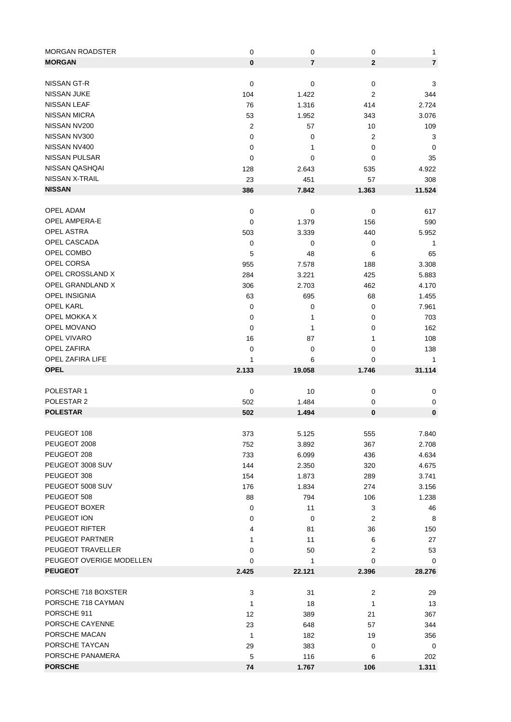| <b>MORGAN ROADSTER</b>   | $\mathbf 0$ | $\mathbf 0$    | 0            | 1              |
|--------------------------|-------------|----------------|--------------|----------------|
| <b>MORGAN</b>            | $\bf{0}$    | $\overline{7}$ | $\mathbf{2}$ | $\overline{7}$ |
|                          |             |                |              |                |
| NISSAN GT-R              | $\mathbf 0$ | 0              | $\pmb{0}$    | 3              |
| <b>NISSAN JUKE</b>       | 104         | 1.422          | 2            | 344            |
| <b>NISSAN LEAF</b>       | 76          | 1.316          | 414          | 2.724          |
| <b>NISSAN MICRA</b>      | 53          | 1.952          | 343          | 3.076          |
| NISSAN NV200             | 2           | 57             | 10           | 109            |
| NISSAN NV300             | 0           | 0              |              |                |
| NISSAN NV400             |             |                | 2            | 3              |
|                          | 0           | 1              | 0            | 0              |
| NISSAN PULSAR            | 0           | 0              | 0            | 35             |
| NISSAN QASHQAI           | 128         | 2.643          | 535          | 4.922          |
| NISSAN X-TRAIL           | 23          | 451            | 57           | 308            |
| <b>NISSAN</b>            | 386         | 7.842          | 1.363        | 11.524         |
|                          |             |                |              |                |
| OPEL ADAM                | $\mathbf 0$ | 0              | 0            | 617            |
| <b>OPEL AMPERA-E</b>     | 0           | 1.379          | 156          | 590            |
| <b>OPEL ASTRA</b>        | 503         | 3.339          | 440          | 5.952          |
| OPEL CASCADA             | $\mathbf 0$ | 0              | 0            | 1              |
| OPEL COMBO               | 5           | 48             | 6            | 65             |
| OPEL CORSA               | 955         | 7.578          | 188          | 3.308          |
| OPEL CROSSLAND X         | 284         | 3.221          | 425          | 5.883          |
| OPEL GRANDLAND X         | 306         | 2.703          | 462          | 4.170          |
| <b>OPEL INSIGNIA</b>     | 63          | 695            | 68           | 1.455          |
| <b>OPEL KARL</b>         | 0           | 0              | 0            | 7.961          |
| OPEL MOKKA X             | 0           | 1              | 0            | 703            |
| <b>OPEL MOVANO</b>       | 0           | 1              | 0            | 162            |
| OPEL VIVARO              |             |                |              |                |
| OPEL ZAFIRA              | 16          | 87             | 1            | 108            |
|                          | 0           | 0              | 0            | 138            |
|                          |             |                |              |                |
| OPEL ZAFIRA LIFE         | 1           | 6              | 0            | 1              |
| <b>OPEL</b>              | 2.133       | 19.058         | 1.746        | 31.114         |
|                          |             |                |              |                |
| POLESTAR 1               | $\mathbf 0$ | 10             | 0            | 0              |
| POLESTAR 2               | 502         | 1.484          | 0            | $\pmb{0}$      |
| <b>POLESTAR</b>          | 502         | 1.494          | $\bf{0}$     | 0              |
|                          |             |                |              |                |
| PEUGEOT 108              | 373         | 5.125          | 555          | 7.840          |
| PEUGEOT 2008             | 752         | 3.892          | 367          | 2.708          |
| PEUGEOT 208              | 733         | 6.099          | 436          | 4.634          |
| PEUGEOT 3008 SUV         | 144         | 2.350          | 320          | 4.675          |
| PEUGEOT 308              | 154         | 1.873          | 289          | 3.741          |
| PEUGEOT 5008 SUV         |             |                |              |                |
|                          | 176         | 1.834          | 274          | 3.156          |
| PEUGEOT 508              | 88          | 794            | 106          | 1.238          |
| PEUGEOT BOXER            | 0           | 11             | 3            | 46             |
| PEUGEOT ION              | 0           | 0              | 2            | 8              |
| PEUGEOT RIFTER           | 4           | 81             | 36           | 150            |
| PEUGEOT PARTNER          | 1           | 11             | 6            | 27             |
| PEUGEOT TRAVELLER        | 0           | 50             | 2            | 53             |
| PEUGEOT OVERIGE MODELLEN | 0           | 1              | 0            | 0              |
| <b>PEUGEOT</b>           | 2.425       | 22.121         | 2.396        | 28.276         |
|                          |             |                |              |                |
| PORSCHE 718 BOXSTER      | 3           | 31             | 2            | 29             |
| PORSCHE 718 CAYMAN       | 1           | 18             | 1            | 13             |
| PORSCHE 911              | 12          | 389            | 21           | 367            |
| PORSCHE CAYENNE          | 23          | 648            | 57           | 344            |
| PORSCHE MACAN            | 1           | 182            | 19           | 356            |
| PORSCHE TAYCAN           | 29          | 383            | 0            | 0              |
| PORSCHE PANAMERA         | 5           | 116            | 6            | 202            |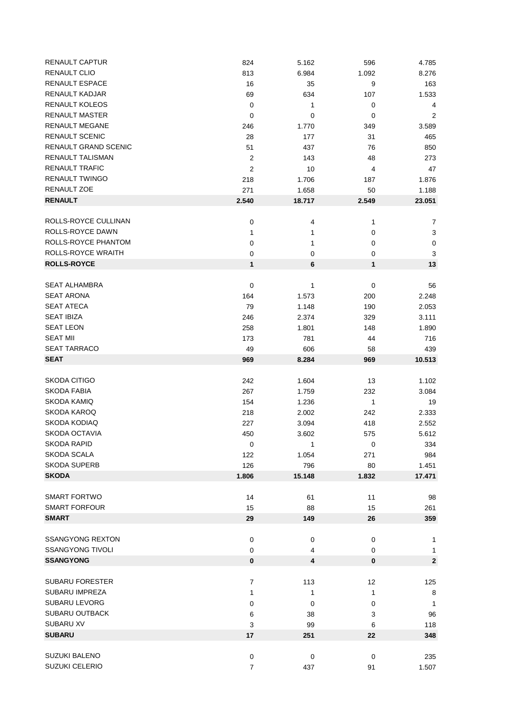| RENAULT CAPTUR              | 824            | 5.162  | 596            | 4.785          |
|-----------------------------|----------------|--------|----------------|----------------|
| <b>RENAULT CLIO</b>         | 813            | 6.984  | 1.092          | 8.276          |
| RENAULT ESPACE              | 16             | 35     | 9              | 163            |
| RENAULT KADJAR              | 69             | 634    | 107            | 1.533          |
| RENAULT KOLEOS              | $\pmb{0}$      | 1      | 0              | 4              |
| <b>RENAULT MASTER</b>       | 0              | 0      | 0              | $\overline{c}$ |
| <b>RENAULT MEGANE</b>       | 246            | 1.770  | 349            | 3.589          |
| <b>RENAULT SCENIC</b>       | 28             | 177    | 31             | 465            |
| <b>RENAULT GRAND SCENIC</b> | 51             | 437    | 76             | 850            |
| <b>RENAULT TALISMAN</b>     | 2              | 143    | 48             | 273            |
| <b>RENAULT TRAFIC</b>       | $\overline{2}$ | 10     | 4              | 47             |
| <b>RENAULT TWINGO</b>       | 218            | 1.706  | 187            | 1.876          |
| RENAULT ZOE                 | 271            |        | 50             | 1.188          |
| <b>RENAULT</b>              |                | 1.658  |                |                |
|                             | 2.540          | 18.717 | 2.549          | 23.051         |
| ROLLS-ROYCE CULLINAN        | 0              | 4      | 1              | 7              |
| ROLLS-ROYCE DAWN            | 1              | 1      | 0              | 3              |
| ROLLS-ROYCE PHANTOM         | 0              | 1      | 0              | $\pmb{0}$      |
| ROLLS-ROYCE WRAITH          |                |        |                |                |
| <b>ROLLS-ROYCE</b>          | 0<br>1         | 0<br>6 | $\pmb{0}$<br>1 | 3<br>13        |
|                             |                |        |                |                |
| <b>SEAT ALHAMBRA</b>        | $\pmb{0}$      | 1      | $\pmb{0}$      | 56             |
| <b>SEAT ARONA</b>           | 164            | 1.573  | 200            | 2.248          |
| <b>SEAT ATECA</b>           | 79             | 1.148  | 190            | 2.053          |
| <b>SEAT IBIZA</b>           | 246            | 2.374  | 329            | 3.111          |
| <b>SEAT LEON</b>            | 258            | 1.801  | 148            | 1.890          |
| <b>SEAT MII</b>             |                |        |                |                |
| <b>SEAT TARRACO</b>         | 173            | 781    | 44             | 716            |
| <b>SEAT</b>                 | 49             | 606    | 58             | 439            |
|                             | 969            | 8.284  | 969            | 10.513         |
| SKODA CITIGO                | 242            | 1.604  | 13             | 1.102          |
| <b>SKODA FABIA</b>          | 267            | 1.759  | 232            | 3.084          |
| <b>SKODA KAMIQ</b>          | 154            | 1.236  | 1              |                |
| <b>SKODA KAROQ</b>          |                |        |                | 19             |
| SKODA KODIAQ                | 218            | 2.002  | 242            | 2.333          |
| <b>SKODA OCTAVIA</b>        | 227            | 3.094  | 418            | 2.552          |
| <b>SKODA RAPID</b>          | 450            | 3.602  | 575            | 5.612          |
|                             | 0              | 1      | 0              | 334            |
| <b>SKODA SCALA</b>          | 122            | 1.054  | 271            | 984            |
| <b>SKODA SUPERB</b>         | 126            | 796    | 80             | 1.451          |
| <b>SKODA</b>                | 1.806          | 15.148 | 1.832          | 17.471         |
| <b>SMART FORTWO</b>         | 14             | 61     | 11             | 98             |
| <b>SMART FORFOUR</b>        | 15             |        |                |                |
| <b>SMART</b>                |                | 88     | 15             | 261            |
|                             | 29             | 149    | 26             | 359            |
| <b>SSANGYONG REXTON</b>     | 0              |        | $\pmb{0}$      |                |
| <b>SSANGYONG TIVOLI</b>     |                | 0      |                | 1              |
|                             | 0              | 4      | 0              | 1              |
| <b>SSANGYONG</b>            | 0              | 4      | 0              | $\mathbf 2$    |
|                             |                |        |                |                |
| <b>SUBARU FORESTER</b>      | 7              | 113    | 12             | 125            |
| <b>SUBARU IMPREZA</b>       | 1              | 1      | 1              | 8              |
| <b>SUBARU LEVORG</b>        | 0              | 0      | 0              | -1             |
| <b>SUBARU OUTBACK</b>       | 6              | 38     | 3              | 96             |
| <b>SUBARU XV</b>            | 3              | 99     | 6              | 118            |
| <b>SUBARU</b>               | 17             | 251    | 22             | 348            |
|                             |                |        |                |                |
| <b>SUZUKI BALENO</b>        | 0              | 0      | 0              | 235            |
| <b>SUZUKI CELERIO</b>       | 7              | 437    | 91             | 1.507          |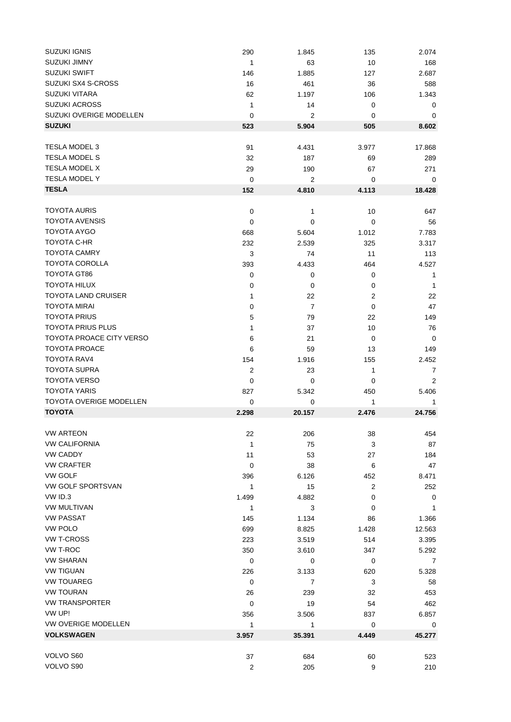| SUZUKI IGNIS                    | 290              | 1.845          | 135         | 2.074        |
|---------------------------------|------------------|----------------|-------------|--------------|
| <b>SUZUKI JIMNY</b>             | $\mathbf{1}$     | 63             | 10          | 168          |
| <b>SUZUKI SWIFT</b>             | 146              | 1.885          | 127         | 2.687        |
| SUZUKI SX4 S-CROSS              | 16               | 461            | 36          | 588          |
| <b>SUZUKI VITARA</b>            | 62               | 1.197          | 106         | 1.343        |
| <b>SUZUKI ACROSS</b>            | $\mathbf{1}$     | 14             | 0           | 0            |
| SUZUKI OVERIGE MODELLEN         | 0                | 2              | 0           | 0            |
| <b>SUZUKI</b>                   | 523              | 5.904          | 505         | 8.602        |
| <b>TESLA MODEL 3</b>            | 91               | 4.431          | 3.977       | 17.868       |
| <b>TESLA MODEL S</b>            | 32               | 187            | 69          | 289          |
| <b>TESLA MODEL X</b>            | 29               | 190            | 67          | 271          |
| <b>TESLA MODEL Y</b>            | 0                | 2              | 0           | 0            |
| <b>TESLA</b>                    | 152              | 4.810          | 4.113       | 18.428       |
|                                 |                  |                |             |              |
| <b>TOYOTA AURIS</b>             | 0                | 1              | 10          | 647          |
| <b>TOYOTA AVENSIS</b>           | 0                | 0              | 0           | 56           |
| <b>TOYOTA AYGO</b>              | 668              | 5.604          | 1.012       | 7.783        |
| <b>TOYOTA C-HR</b>              | 232              | 2.539          | 325         | 3.317        |
| <b>TOYOTA CAMRY</b>             | 3                | 74             | 11          | 113          |
| <b>TOYOTA COROLLA</b>           | 393              | 4.433          | 464         | 4.527        |
| TOYOTA GT86                     | 0                | $\pmb{0}$      | $\pmb{0}$   | 1            |
| <b>TOYOTA HILUX</b>             | $\mathbf 0$      | 0              | 0           | $\mathbf{1}$ |
| <b>TOYOTA LAND CRUISER</b>      | 1                | 22             | 2           | 22           |
| <b>TOYOTA MIRAI</b>             | $\mathbf 0$      | $\overline{7}$ | $\mathbf 0$ | 47           |
| <b>TOYOTA PRIUS</b>             | 5                | 79             | 22          | 149          |
| <b>TOYOTA PRIUS PLUS</b>        | 1                | 37             | 10          | 76           |
| <b>TOYOTA PROACE CITY VERSO</b> | 6                | 21             | 0           | 0            |
| <b>TOYOTA PROACE</b>            | 6                | 59             | 13          | 149          |
| TOYOTA RAV4                     | 154              | 1.916          | 155         | 2.452        |
| <b>TOYOTA SUPRA</b>             | $\overline{2}$   | 23             | 1           | 7            |
| <b>TOYOTA VERSO</b>             | 0                | 0              | 0           | 2            |
| <b>TOYOTA YARIS</b>             | 827              | 5.342          | 450         | 5.406        |
| <b>TOYOTA OVERIGE MODELLEN</b>  | 0                | 0              | 1           | 1            |
| <b>TOYOTA</b>                   | 2.298            | 20.157         | 2.476       | 24.756       |
| <b>VW ARTEON</b>                | 22               | 206            | 38          | 454          |
| <b>VW CALIFORNIA</b>            | 1                | 75             | 3           | 87           |
| <b>VW CADDY</b>                 | 11               | 53             | 27          | 184          |
| <b>VW CRAFTER</b>               | $\mathbf 0$      | 38             | 6           | 47           |
| <b>VW GOLF</b>                  | 396              | 6.126          | 452         | 8.471        |
| VW GOLF SPORTSVAN               | 1                | 15             | 2           | 252          |
| VW ID.3                         | 1.499            | 4.882          | 0           | 0            |
| <b>VW MULTIVAN</b>              | 1                | 3              | 0           | $\mathbf{1}$ |
| <b>VW PASSAT</b>                | 145              | 1.134          | 86          | 1.366        |
| <b>VW POLO</b>                  | 699              | 8.825          | 1.428       | 12.563       |
| <b>VW T-CROSS</b>               | 223              | 3.519          | 514         | 3.395        |
| VW T-ROC                        | 350              | 3.610          | 347         | 5.292        |
| <b>VW SHARAN</b>                | $\mathbf 0$      | $\pmb{0}$      | 0           | 7            |
| <b>VW TIGUAN</b>                | 226              | 3.133          | 620         | 5.328        |
| <b>VW TOUAREG</b>               | 0                | $\overline{7}$ | 3           | 58           |
| <b>VW TOURAN</b>                | 26               | 239            | 32          | 453          |
| <b>VW TRANSPORTER</b>           | 0                | 19             | 54          | 462          |
| VW UP!                          | 356              | 3.506          | 837         | 6.857        |
| VW OVERIGE MODELLEN             | $\mathbf{1}$     | 1              | $\mathbf 0$ | 0            |
| <b>VOLKSWAGEN</b>               | 3.957            | 35.391         | 4.449       | 45.277       |
|                                 |                  |                |             |              |
| VOLVO S60                       | 37               | 684            | 60          | 523          |
| VOLVO S90                       | $\boldsymbol{2}$ | 205            | 9           | 210          |